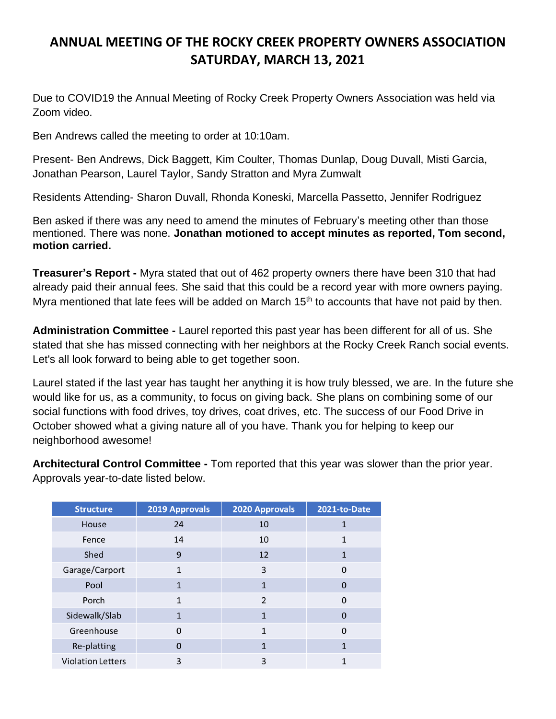## **ANNUAL MEETING OF THE ROCKY CREEK PROPERTY OWNERS ASSOCIATION SATURDAY, MARCH 13, 2021**

Due to COVID19 the Annual Meeting of Rocky Creek Property Owners Association was held via Zoom video.

Ben Andrews called the meeting to order at 10:10am.

Present- Ben Andrews, Dick Baggett, Kim Coulter, Thomas Dunlap, Doug Duvall, Misti Garcia, Jonathan Pearson, Laurel Taylor, Sandy Stratton and Myra Zumwalt

Residents Attending- Sharon Duvall, Rhonda Koneski, Marcella Passetto, Jennifer Rodriguez

Ben asked if there was any need to amend the minutes of February's meeting other than those mentioned. There was none. **Jonathan motioned to accept minutes as reported, Tom second, motion carried.** 

**Treasurer's Report -** Myra stated that out of 462 property owners there have been 310 that had already paid their annual fees. She said that this could be a record year with more owners paying. Myra mentioned that late fees will be added on March  $15<sup>th</sup>$  to accounts that have not paid by then.

**Administration Committee -** Laurel reported this past year has been different for all of us. She stated that she has missed connecting with her neighbors at the Rocky Creek Ranch social events. Let's all look forward to being able to get together soon.

Laurel stated if the last year has taught her anything it is how truly blessed, we are. In the future she would like for us, as a community, to focus on giving back. She plans on combining some of our social functions with food drives, toy drives, coat drives, etc. The success of our Food Drive in October showed what a giving nature all of you have. Thank you for helping to keep our neighborhood awesome!

**Architectural Control Committee -** Tom reported that this year was slower than the prior year. Approvals year-to-date listed below.

| <b>Structure</b>         | 2019 Approvals | 2020 Approvals | 2021-to-Date |
|--------------------------|----------------|----------------|--------------|
| House                    | 24             | 10             |              |
| Fence                    | 14             | 10             |              |
| Shed                     | 9              | 12             | 1            |
| Garage/Carport           | 1              | 3              | $\Omega$     |
| Pool                     | 1              | 1              | $\Omega$     |
| Porch                    | 1              | $\overline{2}$ | $\Omega$     |
| Sidewalk/Slab            | 1              | 1              | $\Omega$     |
| Greenhouse               | O              | 1              | $\Omega$     |
| Re-platting              | $\Omega$       | 1              | 1            |
| <b>Violation Letters</b> | 3              | 3              |              |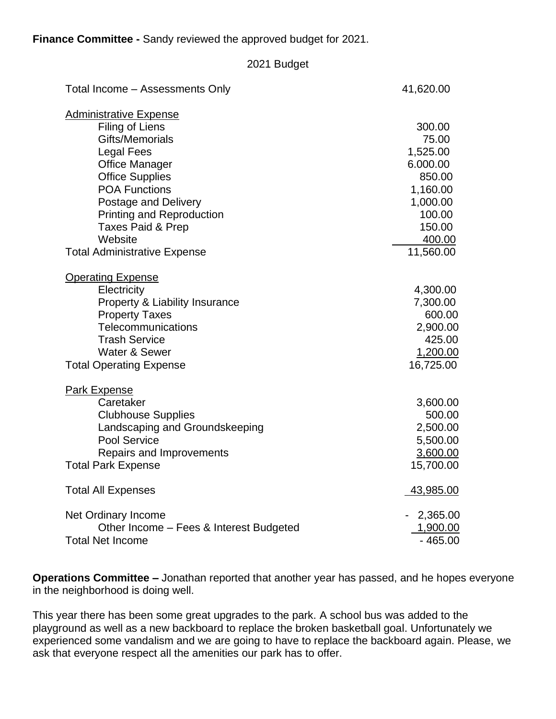**Finance Committee -** Sandy reviewed the approved budget for 2021.

| 2021 Budget                             |             |
|-----------------------------------------|-------------|
| Total Income - Assessments Only         | 41,620.00   |
| <b>Administrative Expense</b>           |             |
| Filing of Liens                         | 300.00      |
| Gifts/Memorials                         | 75.00       |
| <b>Legal Fees</b>                       | 1,525.00    |
| <b>Office Manager</b>                   | 6.000.00    |
| <b>Office Supplies</b>                  | 850.00      |
| <b>POA Functions</b>                    | 1,160.00    |
| <b>Postage and Delivery</b>             | 1,000.00    |
| <b>Printing and Reproduction</b>        | 100.00      |
| Taxes Paid & Prep                       | 150.00      |
| Website                                 | 400.00      |
| <b>Total Administrative Expense</b>     | 11,560.00   |
| <b>Operating Expense</b>                |             |
| Electricity                             | 4,300.00    |
| Property & Liability Insurance          | 7,300.00    |
| <b>Property Taxes</b>                   | 600.00      |
| Telecommunications                      | 2,900.00    |
| <b>Trash Service</b>                    | 425.00      |
| <b>Water &amp; Sewer</b>                | 1,200.00    |
| <b>Total Operating Expense</b>          | 16,725.00   |
| <b>Park Expense</b>                     |             |
| Caretaker                               | 3,600.00    |
| <b>Clubhouse Supplies</b>               | 500.00      |
| Landscaping and Groundskeeping          | 2,500.00    |
| Pool Service                            | 5,500.00    |
| Repairs and Improvements                | 3,600.00    |
| <b>Total Park Expense</b>               | 15,700.00   |
| <b>Total All Expenses</b>               | 43,985.00   |
| Net Ordinary Income                     | $-2,365.00$ |
| Other Income - Fees & Interest Budgeted | 1,900.00    |
| <b>Total Net Income</b>                 | $-465.00$   |

**Operations Committee –** Jonathan reported that another year has passed, and he hopes everyone in the neighborhood is doing well.

This year there has been some great upgrades to the park. A school bus was added to the playground as well as a new backboard to replace the broken basketball goal. Unfortunately we experienced some vandalism and we are going to have to replace the backboard again. Please, we ask that everyone respect all the amenities our park has to offer.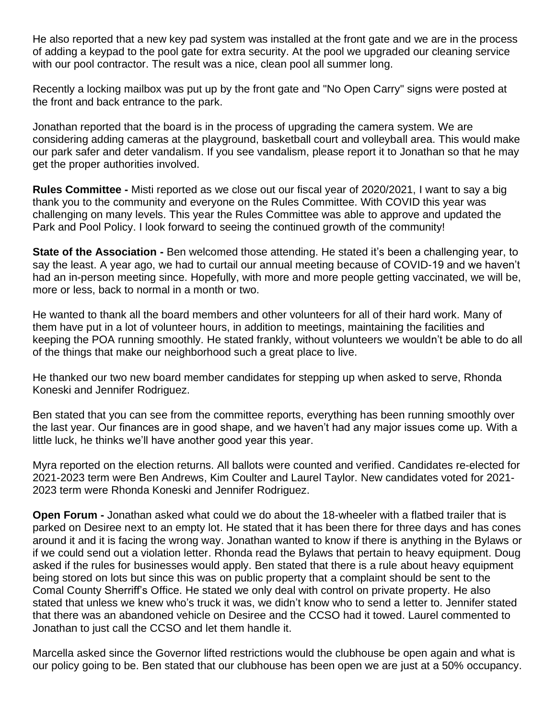He also reported that a new key pad system was installed at the front gate and we are in the process of adding a keypad to the pool gate for extra security. At the pool we upgraded our cleaning service with our pool contractor. The result was a nice, clean pool all summer long.

Recently a locking mailbox was put up by the front gate and "No Open Carry" signs were posted at the front and back entrance to the park.

Jonathan reported that the board is in the process of upgrading the camera system. We are considering adding cameras at the playground, basketball court and volleyball area. This would make our park safer and deter vandalism. If you see vandalism, please report it to Jonathan so that he may get the proper authorities involved.

**Rules Committee -** Misti reported as we close out our fiscal year of 2020/2021, I want to say a big thank you to the community and everyone on the Rules Committee. With COVID this year was challenging on many levels. This year the Rules Committee was able to approve and updated the Park and Pool Policy. I look forward to seeing the continued growth of the community!

**State of the Association -** Ben welcomed those attending. He stated it's been a challenging year, to say the least. A year ago, we had to curtail our annual meeting because of COVID-19 and we haven't had an in-person meeting since. Hopefully, with more and more people getting vaccinated, we will be, more or less, back to normal in a month or two.

He wanted to thank all the board members and other volunteers for all of their hard work. Many of them have put in a lot of volunteer hours, in addition to meetings, maintaining the facilities and keeping the POA running smoothly. He stated frankly, without volunteers we wouldn't be able to do all of the things that make our neighborhood such a great place to live.

He thanked our two new board member candidates for stepping up when asked to serve, Rhonda Koneski and Jennifer Rodriguez.

Ben stated that you can see from the committee reports, everything has been running smoothly over the last year. Our finances are in good shape, and we haven't had any major issues come up. With a little luck, he thinks we'll have another good year this year.

Myra reported on the election returns. All ballots were counted and verified. Candidates re-elected for 2021-2023 term were Ben Andrews, Kim Coulter and Laurel Taylor. New candidates voted for 2021- 2023 term were Rhonda Koneski and Jennifer Rodriguez.

**Open Forum -** Jonathan asked what could we do about the 18-wheeler with a flatbed trailer that is parked on Desiree next to an empty lot. He stated that it has been there for three days and has cones around it and it is facing the wrong way. Jonathan wanted to know if there is anything in the Bylaws or if we could send out a violation letter. Rhonda read the Bylaws that pertain to heavy equipment. Doug asked if the rules for businesses would apply. Ben stated that there is a rule about heavy equipment being stored on lots but since this was on public property that a complaint should be sent to the Comal County Sherriff's Office. He stated we only deal with control on private property. He also stated that unless we knew who's truck it was, we didn't know who to send a letter to. Jennifer stated that there was an abandoned vehicle on Desiree and the CCSO had it towed. Laurel commented to Jonathan to just call the CCSO and let them handle it.

Marcella asked since the Governor lifted restrictions would the clubhouse be open again and what is our policy going to be. Ben stated that our clubhouse has been open we are just at a 50% occupancy.